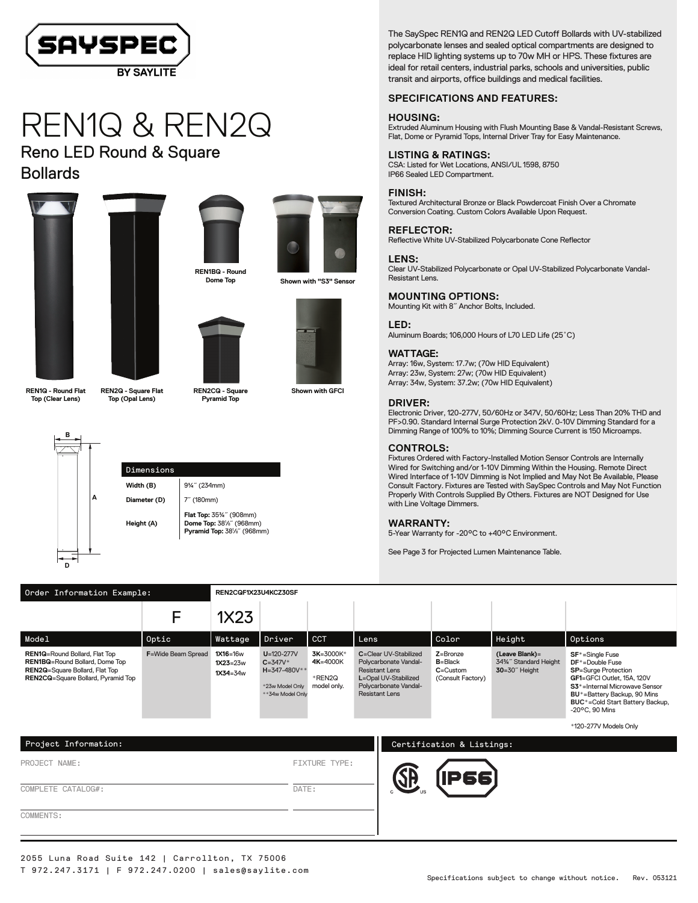

# REN1Q & REN2Q

Reno LED Round & Square Bollards











**Shown with GFCI**

**REN1Q - Round Flat Top (Clear Lens)**



### **REN2Q - Square Flat Top (Opal Lens)**

**REN2CQ - Square Pyramid Top**



Dimensions **Width (B)** 9¼<sup>"</sup> (234mm) **Diameter (D)** 7<sup>"</sup> (180mm) **Height (A) Flat Top:** 35¾˝ (908mm) **Dome Top:** 38½˝ (968mm)<br>**Pyramid Top:** 38½˝ (968mm) The SaySpec REN1Q and REN2Q LED Cutoff Bollards with UV-stabilized polycarbonate lenses and sealed optical compartments are designed to replace HID lighting systems up to 70w MH or HPS. These fixtures are ideal for retail centers, industrial parks, schools and universities, public transit and airports, office buildings and medical facilities.

#### **SPECIFICATIONS AND FEATURES:**

#### **HOUSING:**

Extruded Aluminum Housing with Flush Mounting Base & Vandal-Resistant Screws, Flat, Dome or Pyramid Tops, Internal Driver Tray for Easy Maintenance.

#### **LISTING & RATINGS:**

CSA: Listed for Wet Locations, ANSI/UL 1598, 8750 IP66 Sealed LED Compartment.

#### **FINISH:**

Textured Architectural Bronze or Black Powdercoat Finish Over a Chromate Conversion Coating. Custom Colors Available Upon Request.

## Reflective White UV-Stabilized Polycarbonate Cone Reflector

**REFLECTOR:**

**LENS:** Clear UV-Stabilized Polycarbonate or Opal UV-Stabilized Polycarbonate Vandal-Resistant Lens.

#### **MOUNTING OPTIONS:**

Mounting Kit with 8˝ Anchor Bolts, Included.

#### **LED:**

Aluminum Boards; 106,000 Hours of L70 LED Life (25˚C)

#### **WATTAGE:**

Array: 16w, System: 17.7w; (70w HID Equivalent) Array: 23w, System: 27w; (70w HID Equivalent) Array: 34w, System: 37.2w; (70w HID Equivalent)

#### **DRIVER:**

Electronic Driver,120-277V, 50/60Hz or 347V, 50/60Hz; Less Than 20% THD and PF>0.90. Standard Internal Surge Protection 2kV. 0-10V Dimming Standard for a Dimming Range of 100% to 10%; Dimming Source Current is 150 Microamps.

#### **CONTROLS:**

Fixtures Ordered with Factory-Installed Motion Sensor Controls are Internally Wired for Switching and/or 1-10V Dimming Within the Housing. Remote Direct Wired Interface of 1-10V Dimming is Not Implied and May Not Be Available, Please Consult Factory. Fixtures are Tested with SaySpec Controls and May Not Function Properly With Controls Supplied By Others. Fixtures are NOT Designed for Use with Line Voltage Dimmers.

#### **WARRANTY:**

5-Year Warranty for -20°C to +40°C Environment.

See Page 3 for Projected Lumen Maintenance Table.

| Order Information Example:                                                                                                                                          |                            | REN2CQF1X23U4KCZ30SF                     |                                                                                               |                                                |                                                                                                                                            |                                                                  |                                                                  |                                                                                                                                                                                                                                                                    |  |
|---------------------------------------------------------------------------------------------------------------------------------------------------------------------|----------------------------|------------------------------------------|-----------------------------------------------------------------------------------------------|------------------------------------------------|--------------------------------------------------------------------------------------------------------------------------------------------|------------------------------------------------------------------|------------------------------------------------------------------|--------------------------------------------------------------------------------------------------------------------------------------------------------------------------------------------------------------------------------------------------------------------|--|
|                                                                                                                                                                     |                            | 1X23                                     |                                                                                               |                                                |                                                                                                                                            |                                                                  |                                                                  |                                                                                                                                                                                                                                                                    |  |
| Model                                                                                                                                                               | Optic                      | Wattage                                  | Driver                                                                                        | <b>CCT</b>                                     | Lens                                                                                                                                       | Color                                                            | Height                                                           | Options                                                                                                                                                                                                                                                            |  |
| <b>REN1Q=Round Bollard, Flat Top</b><br><b>REN1BQ=Round Bollard, Dome Top</b><br><b>REN2G=Square Bollard, Flat Top</b><br><b>REN2CQ=Square Bollard, Pyramid Top</b> | <b>F</b> =Wide Beam Spread | $1X16=16w$<br>$1X23=23w$<br>$1X34 = 34w$ | $U = 120 - 277V$<br>$C = 347V^*$<br>$H = 347 - 480V^*$<br>*23w Model Only<br>**34w Model Only | 3K=3000K*<br>4K=4000K<br>*REN2Q<br>model only. | C=Clear UV-Stabilized<br>Polycarbonate Vandal-<br>Resistant Lens<br>L=Opal UV-Stabilized<br>Polycarbonate Vandal-<br><b>Resistant Lens</b> | $Z =$ Bronze<br>$B = Black$<br>$C =$ Custom<br>(Consult Factory) | (Leave Blank)=<br>34%" Standard Height<br>$30 = 30^\circ$ Height | $SF* = \text{Single}$ Fuse<br>$DF^*$ =Double Fuse<br><b>SP</b> =Surge Protection<br>GF1=GFCI Outlet, 15A, 120V<br>S3 <sup>*</sup> =Internal Microwave Sensor<br>BU*=Battery Backup, 90 Mins<br><b>BUC</b> *=Cold Start Battery Backup.<br>$-20^{\circ}$ C. 90 Mins |  |

\*120-277V Models Only

| Project Information: |               | Certification & Listings: |
|----------------------|---------------|---------------------------|
| PROJECT NAME:        | FIXTURE TYPE: | ÆБ                        |
| COMPLETE CATALOG#:   | DATE:         | 661                       |
| COMMENTS:            |               |                           |
|                      |               |                           |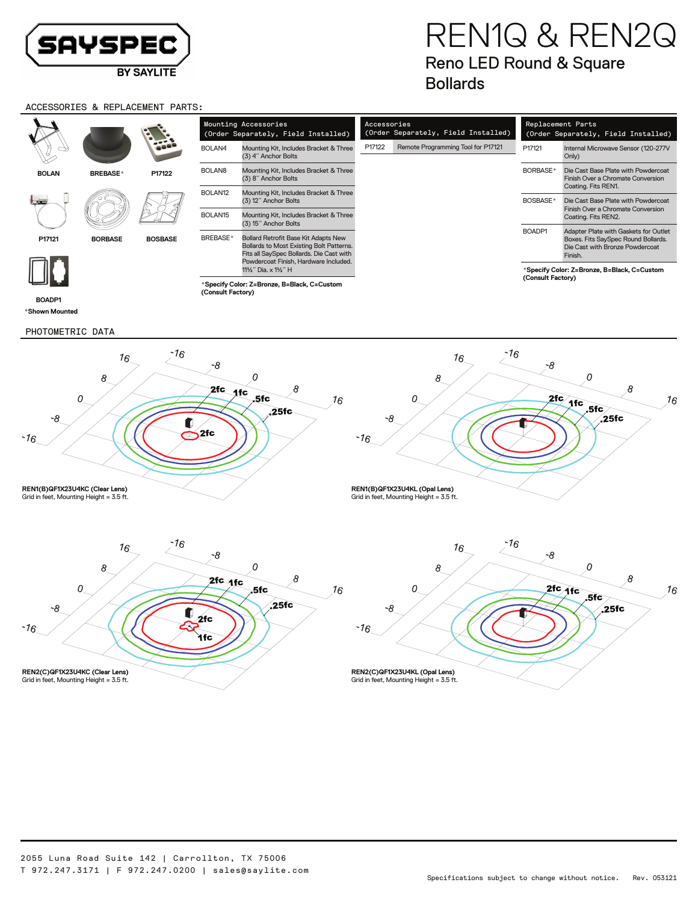

# REN1Q & REN2Q Reno LED Round & Square Bollards

### ACCESSORIES & REPLACEMENT PARTS:

| Čν               | REPLACEMENI PARIS:  |                                                                |                                                                                                                                                                              |        |                                                    |                                                                          |                                                                                                                            |  |  |
|------------------|---------------------|----------------------------------------------------------------|------------------------------------------------------------------------------------------------------------------------------------------------------------------------------|--------|----------------------------------------------------|--------------------------------------------------------------------------|----------------------------------------------------------------------------------------------------------------------------|--|--|
|                  |                     | Mounting Accessories<br>(Order Separately, Field Installed)    |                                                                                                                                                                              |        | Accessories<br>(Order Separately, Field Installed) | Replacement Parts<br>(Order Separately, Field Installed)                 |                                                                                                                            |  |  |
|                  | <b>SOC</b>          | BOLAN4                                                         | Mounting Kit, Includes Bracket & Three<br>(3) 4" Anchor Bolts                                                                                                                | P17122 | Remote Programming Tool for P17121                 | P17121                                                                   | Internal Microwave Sensor (120-277V<br>Only)                                                                               |  |  |
| <b>BREBASE</b> * | P17122              | BOLAN <sub>8</sub>                                             | Mounting Kit, Includes Bracket & Three<br>(3) 8" Anchor Bolts                                                                                                                |        |                                                    | BORBASE*                                                                 | Die Cast Base Plate with Powdercoat<br>Finish Over a Chromate Conversion<br>Coating. Fits REN1.                            |  |  |
|                  | BOLAN <sub>12</sub> | Mounting Kit, Includes Bracket & Three<br>(3) 12" Anchor Bolts |                                                                                                                                                                              |        | BOSBASE*                                           | Die Cast Base Plate with Powdercoat<br>Finish Over a Chromate Conversion |                                                                                                                            |  |  |
|                  | BOLAN <sub>15</sub> | Mounting Kit, Includes Bracket & Three<br>(3) 15" Anchor Bolts |                                                                                                                                                                              |        |                                                    | Coating. Fits REN2.                                                      |                                                                                                                            |  |  |
| <b>BORBASE</b>   | <b>BOSBASE</b>      | BREBASE*                                                       | <b>Bollard Retrofit Base Kit Adapts New</b><br>Bollards to Most Existing Bolt Patterns.<br>Fits all SaySpec Bollards. Die Cast with<br>Powdercoat Finish, Hardware Included. |        |                                                    | BOADP1                                                                   | Adapter Plate with Gaskets for Outlet<br>Boxes. Fits SaySpec Round Bollards.<br>Die Cast with Bronze Powdercoat<br>Finish. |  |  |
|                  |                     |                                                                | 11½" Dia. x 1½" H                                                                                                                                                            |        |                                                    |                                                                          | *Specify Color: Z=Bronze, B=Black, C=Custom                                                                                |  |  |

**\*Specify Color: Z=Bronze, B=Black, C=Custom (Consult Factory)**

**\*Shown Mounted BOADP1**

**BOLAN**

**P17121**

PHOTOMETRIC DATA



**\*Specify Color: Z=Bronze, B=Black, C=Custom**

**(Consult Factory)**